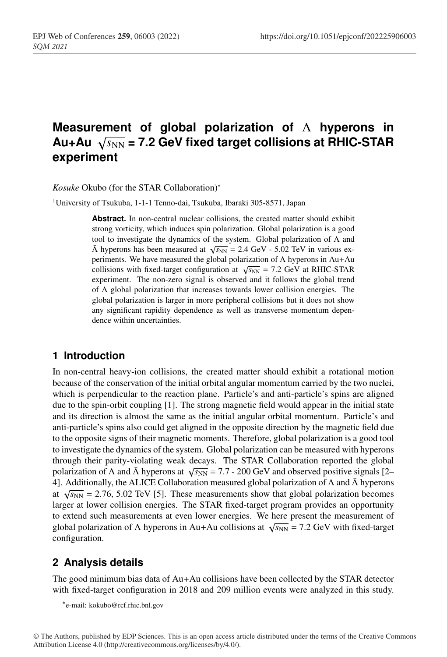# **Measurement of global polarization of** Λ **hyperons in** Au+Au  $\sqrt{s_{NN}}$  = 7.2 GeV fixed target collisions at RHIC-STAR **experiment**

*Kosuke* Okubo (for the STAR Collaboration)<sup>∗</sup>

<sup>1</sup>University of Tsukuba, 1-1-1 Tenno-dai, Tsukuba, Ibaraki 305-8571, Japan

Abstract. In non-central nuclear collisions, the created matter should exhibit strong vorticity, which induces spin polarization. Global polarization is a good tool to investigate the dynamics of the system. Global polarization of Λ and  $\bar{\Lambda}$  hyperons has been measured at  $\sqrt{s_{NN}}$  = 2.4 GeV - 5.02 TeV in various experiments. We have measured the global polarization of Λ hyperons in Au+Au collisions with fixed-target configuration at  $\sqrt{s_{NN}}$  = 7.2 GeV at RHIC-STAR experiment. The non-zero signal is observed and it follows the global trend of Λ global polarization that increases towards lower collision energies. The global polarization is larger in more peripheral collisions but it does not show any significant rapidity dependence as well as transverse momentum dependence within uncertainties.

### **1 Introduction**

In non-central heavy-ion collisions, the created matter should exhibit a rotational motion because of the conservation of the initial orbital angular momentum carried by the two nuclei, which is perpendicular to the reaction plane. Particle's and anti-particle's spins are aligned due to the spin-orbit coupling [1]. The strong magnetic field would appear in the initial state and its direction is almost the same as the initial angular orbital momentum. Particle's and anti-particle's spins also could get aligned in the opposite direction by the magnetic field due to the opposite signs of their magnetic moments. Therefore, global polarization is a good tool to investigate the dynamics of the system. Global polarization can be measured with hyperons through their parity-violating weak decays. The STAR Collaboration reported the global polarization of  $\Lambda$  and  $\bar{\Lambda}$  hyperons at  $\sqrt{s_{NN}}$  = 7.7 - 200 GeV and observed positive signals [2– 4]. Additionally, the ALICE Collaboration measured global polarization of  $\Lambda$  and  $\bar{\Lambda}$  hyperons at  $\sqrt{s_{NN}}$  = 2.76, 5.02 TeV [5]. These measurements show that global polarization becomes larger at lower collision energies. The STAR fixed-target program provides an opportunity to extend such measurements at even lower energies. We here present the measurement of global polarization of  $\Lambda$  hyperons in Au+Au collisions at  $\sqrt{s_{NN}}$  = 7.2 GeV with fixed-target configuration.

## **2 Analysis details**

The good minimum bias data of Au+Au collisions have been collected by the STAR detector with fixed-target configuration in 2018 and 209 million events were analyzed in this study.

<sup>∗</sup>e-mail: kokubo@rcf.rhic.bnl.gov

<sup>©</sup> The Authors, published by EDP Sciences. This is an open access article distributed under the terms of the Creative Commons Attribution License 4.0 (http://creativecommons.org/licenses/by/4.0/).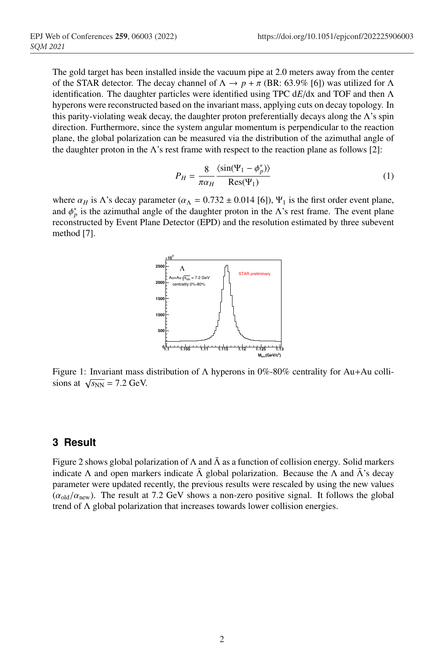The gold target has been installed inside the vacuum pipe at 2.0 meters away from the center of the STAR detector. The decay channel of  $\Lambda \to p + \pi$  (BR: 63.9% [6]) was utilized for  $\Lambda$ identification. The daughter particles were identified using TPC d*E*/dx and TOF and then Λ hyperons were reconstructed based on the invariant mass, applying cuts on decay topology. In this parity-violating weak decay, the daughter proton preferentially decays along the  $\Lambda$ 's spin direction. Furthermore, since the system angular momentum is perpendicular to the reaction plane, the global polarization can be measured via the distribution of the azimuthal angle of the daughter proton in the  $\Lambda$ 's rest frame with respect to the reaction plane as follows [2]:

$$
P_H = \frac{8}{\pi \alpha_H} \frac{\langle \sin(\Psi_1 - \phi_p^*) \rangle}{\text{Res}(\Psi_1)} \tag{1}
$$

where  $\alpha_H$  is  $\Lambda$ 's decay parameter ( $\alpha_\Lambda = 0.732 \pm 0.014$  [6]),  $\Psi_1$  is the first order event plane, and  $\phi_p^*$  is the azimuthal angle of the daughter proton in the  $\Lambda$ 's rest frame. The event plane reconstructed by Event Plane Detector (EPD) and the resolution estimated by three subevent method [7].



Figure 1: Invariant mass distribution of  $\Lambda$  hyperons in 0%-80% centrality for Au+Au collisions at  $\sqrt{s_{NN}}$  = 7.2 GeV.

### **3 Result**

Figure 2 shows global polarization of  $\Lambda$  and  $\bar{\Lambda}$  as a function of collision energy. Solid markers indicate  $\Lambda$  and open markers indicate  $\bar{\Lambda}$  global polarization. Because the  $\Lambda$  and  $\bar{\Lambda}$ 's decay parameter were updated recently, the previous results were rescaled by using the new values  $(\alpha_{\text{old}}/\alpha_{\text{new}})$ . The result at 7.2 GeV shows a non-zero positive signal. It follows the global trend of Λ global polarization that increases towards lower collision energies.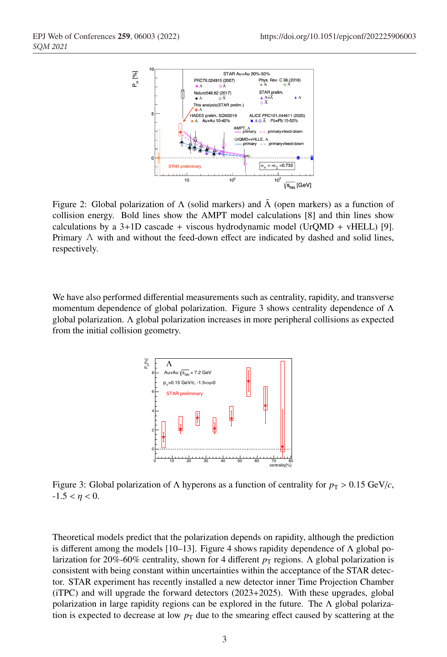

Figure 2: Global polarization of  $\Lambda$  (solid markers) and  $\bar{\Lambda}$  (open markers) as a function of collision energy. Bold lines show the AMPT model calculations [8] and thin lines show calculations by a  $3+1D$  cascade + viscous hydrodynamic model (UrQMD + vHELL) [9]. Primary  $\Lambda$  with and without the feed-down effect are indicated by dashed and solid lines, respectively.

We have also performed differential measurements such as centrality, rapidity, and transverse momentum dependence of global polarization. Figure 3 shows centrality dependence of  $\Lambda$ global polarization. Λ global polarization increases in more peripheral collisions as expected from the initial collision geometry.



Figure 3: Global polarization of  $\Lambda$  hyperons as a function of centrality for  $p_T > 0.15 \text{ GeV}/c$ ,  $-1.5 < \eta < 0$ .

Theoretical models predict that the polarization depends on rapidity, although the prediction is different among the models [10–13]. Figure 4 shows rapidity dependence of  $\Lambda$  global polarization for 20%-60% centrality, shown for 4 different  $p_T$  regions. Λ global polarization is consistent with being constant within uncertainties within the acceptance of the STAR detector. STAR experiment has recently installed a new detector inner Time Projection Chamber (iTPC) and will upgrade the forward detectors (2023+2025). With these upgrades, global polarization in large rapidity regions can be explored in the future. The Λ global polarization is expected to decrease at low  $p<sub>T</sub>$  due to the smearing effect caused by scattering at the